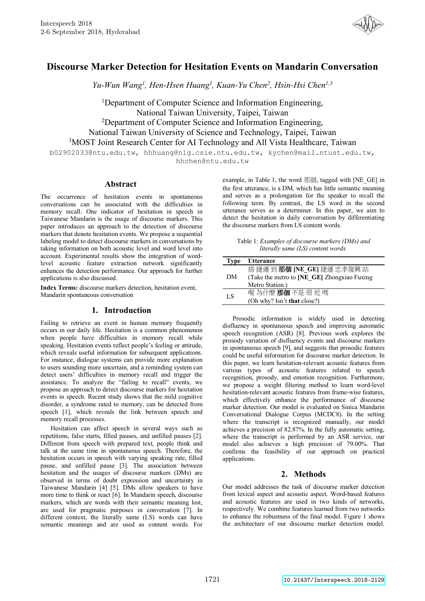

# **Discourse Marker Detection for Hesitation Events on Mandarin Conversation**

Yu-Wun Wang<sup>1</sup>, Hen-Hsen Huang<sup>1</sup>, Kuan-Yu Chen<sup>2</sup>, Hsin-Hsi Chen<sup>1,3</sup>

<sup>1</sup>Department of Computer Science and Information Engineering, National Taiwan University, Taipei, Taiwan 2 Department of Computer Science and Information Engineering, National Taiwan University of Science and Technology, Taipei, Taiwan 3MOST Joint Research Center for AI Technology and All Vista Healthcare, Taiwan

b02902033@ntu.edu.tw, hhhuang@nlg.csie.ntu.edu.tw, kychen@mail.ntust.edu.tw, hhchen@ntu.edu.tw

## **Abstract**

The occurrence of hesitation events in spontaneous conversations can be associated with the difficulties in memory recall. One indicator of hesitation in speech in Taiwanese Mandarin is the usage of discourse markers. This paper introduces an approach to the detection of discourse markers that denote hesitation events. We propose a sequential labeling model to detect discourse markers in conversations by taking information on both acoustic level and word level into account. Experimental results show the integration of wordlevel acoustic feature extraction network significantly enhances the detection performance. Our approach for further applications is also discussed.

**Index Terms:** discourse markers detection, hesitation event, Mandarin spontaneous conversation

## **1. Introduction**

Failing to retrieve an event in human memory frequently occurs in our daily life. Hesitation is a common phenomenon when people have difficulties in memory recall while speaking. Hesitation events reflect people's feeling or attitude, which reveals useful information for subsequent applications. For instance, dialogue systems can provide more explanation to users sounding more uncertain, and a reminding system can detect users' difficulties in memory recall and trigger the assistance. To analyze the "failing to recall" events, we propose an approach to detect discourse markers for hesitation events in speech. Recent study shows that the mild cognitive disorder, a syndrome rated to memory, can be detected from speech [1], which reveals the link between speech and memory recall processes.

Hesitation can affect speech in several ways such as repetitions, false starts, filled pauses, and unfilled pauses [2]. Different from speech with prepared text, people think and talk at the same time in spontaneous speech. Therefore, the hesitation occurs in speech with varying speaking rate, filled pause, and unfilled pause [3]. The association between hesitation and the usages of discourse markers (DMs) are observed in terms of doubt expression and uncertainty in Taiwanese Mandarin [4] [5]. DMs allow speakers to have more time to think or react [6]. In Mandarin speech, discourse markers, which are words with their semantic meaning lost, are used for pragmatic purposes in conversation [7]. In different context, the literally same (LS) words can have semantic meanings and are used as content words. For example, in Table 1, the word 那個, tagged with [NE\_GE] in the first utterance, is a DM, which has little semantic meaning and serves as a prolongation for the speaker to recall the following term. By contrast, the LS word in the second utterance serves as a determiner. In this paper, we aim to detect the hesitation in daily conversation by differentiating the discourse markers from LS content words.

Table 1: *Examples of discourse markers (DMs) and literally same (LS) content words.*

| Type | <b>Utterance</b>                            |
|------|---------------------------------------------|
|      | 搭捷運到那個 [NE_GE] 捷運忠孝復興站                      |
| DM   | (Take the metro to [NE_GE] Zhongxiao Fuxing |
|      | Metro Station.)                             |
| LS   | 喔為什麼那個不是很近嗎                                 |
|      | (Oh why? Isn't <b>that</b> close?)          |

Prosodic information is widely used in detecting disfluency in spontaneous speech and improving automatic speech recognition (ASR) [8]. Previous work explores the prosody variation of disfluency events and discourse markers in spontaneous speech [9], and suggests that prosodic features could be useful information for discourse marker detection. In this paper, we learn hesitation-relevant acoustic features from various types of acoustic features related to speech recognition, prosody, and emotion recognition. Furthermore, we propose a weight filtering method to learn word-level hesitation-relevant acoustic features from frame-wise features, which effectively enhance the performance of discourse marker detection. Our model is evaluated on Sinica Mandarin Conversational Dialogue Corpus (MCDC8). In the setting where the transcript is recognized manually, our model achieves a precision of 82.87%. In the fully automatic setting, where the transcript is performed by an ASR service, our model also achieves a high precision of 79.00%. That confirms the feasibility of our approach on practical applications.

## **2. Methods**

Our model addresses the task of discourse marker detection from lexical aspect and acoustic aspect. Word-based features and acoustic features are used in two kinds of networks, respectively. We combine features learned from two networks to enhance the robustness of the final model. Figure 1 shows the architecture of our discourse marker detection model.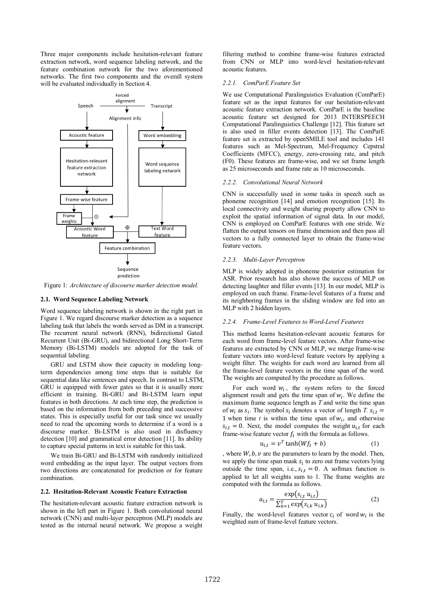Three major components include hesitation-relevant feature extraction network, word sequence labeling network, and the feature combination network for the two aforementioned networks. The first two components and the overall system will be evaluated individually in Section 4.



Figure 1: *Architecture of discourse marker detection model.*

#### **2.1. Word Sequence Labeling Network**

Word sequence labeling network is shown in the right part in Figure 1. We regard discourse marker detection as a sequence labeling task that labels the words served as DM in a transcript. The recurrent neural network (RNN), bidirectional Gated Recurrent Unit (Bi-GRU), and bidirectional Long Short-Term Memory (Bi-LSTM) models are adopted for the task of sequential labeling.

GRU and LSTM show their capacity in modeling longterm dependencies among time steps that is suitable for sequential data like sentences and speech. In contrast to LSTM, GRU is equipped with fewer gates so that it is usually more efficient in training. Bi-GRU and Bi-LSTM learn input features in both directions. At each time step, the prediction is based on the information from both preceding and successive states. This is especially useful for our task since we usually need to read the upcoming words to determine if a word is a discourse marker. Bi-LSTM is also used in disfluency detection [10] and grammatical error detection [11]. Its ability to capture special patterns in text is suitable for this task.

We train Bi-GRU and Bi-LSTM with randomly initialized word embedding as the input layer. The output vectors from two directions are concatenated for prediction or for feature combination.

### **2.2. Hesitation-Relevant Acoustic Feature Extraction**

The hesitation-relevant acoustic feature extraction network is shown in the left part in Figure 1. Both convolutional neural network (CNN) and multi-layer perceptron (MLP) models are tested as the internal neural network. We propose a weight filtering method to combine frame-wise features extracted from CNN or MLP into word-level hesitation-relevant acoustic features.

### *2.2.1. ComParE Feature Set*

We use Computational Paralinguistics Evaluation (ComParE) feature set as the input features for our hesitation-relevant acoustic feature extraction network. ComParE is the baseline acoustic feature set designed for 2013 INTERSPEECH Computational Paralinguistics Challenge [12]. This feature set is also used in filler events detection [13]. The ComParE feature set is extracted by openSMILE tool and includes 141 features such as Mel-Spectrum, Mel-Frequency Cepstral Coefficients (MFCC), energy, zero-crossing rate, and pitch (F0). These features are frame-wise, and we set frame length as 25 microseconds and frame rate as 10 microseconds.

#### *2.2.2. Convolutional Neural Network*

CNN is successfully used in some tasks in speech such as phoneme recognition [14] and emotion recognition [15]. Its local connectivity and weight sharing property allow CNN to exploit the spatial information of signal data. In our model, CNN is employed on ComParE features with one stride. We flatten the output tensors on frame dimension and then pass all vectors to a fully connected layer to obtain the frame-wise feature vectors.

#### *2.2.3. Multi-Layer Perceptron*

MLP is widely adopted in phoneme posterior estimation for ASR. Prior research has also shown the success of MLP on detecting laughter and filler events [13]. In our model, MLP is employed on each frame. Frame-level features of a frame and its neighboring frames in the sliding window are fed into an MLP with 2 hidden layers.

#### *2.2.4. Frame-Level Features to Word-Level Features*

This method learns hesitation-relevant acoustic features for each word from frame-level feature vectors. After frame-wise features are extracted by CNN or MLP, we merge frame-wise feature vectors into word-level feature vectors by applying a weight filter. The weights for each word are learned from all the frame-level feature vectors in the time span of the word. The weights are computed by the procedure as follows.

For each word  $w_i$ , the system refers to the forced alignment result and gets the time span of  $w_i$ . We define the maximum frame sequence length as *T* and write the time span of  $w_i$  as  $s_i$ . The symbol  $s_i$  denotes a vector of length *T.*  $s_{i,t}$  = 1 when time  $t$  is within the time span of  $w_i$ , and otherwise  $s_{i,t} = 0$ . Next, the model computes the weight  $u_{i,t}$  for each frame-wise feature vector  $f_t$  with the formula as follows.

$$
u_{i,t} = v^T \tanh(Wf_t + b) \tag{1}
$$

, where  $W$ ,  $b$ ,  $v$  are the parameters to learn by the model. Then, we apply the time span mask  $s_i$  to zero out frame vectors lying outside the time span, i.e.,  $s_{i,t} = 0$ . A softmax function is applied to let all weights sum to 1. The frame weights are computed with the formula as follows.

$$
a_{i,t} = \frac{\exp(s_{i,t} u_{i,t})}{\sum_{k=1}^{T} \exp(s_{i,k} u_{i,k})}
$$
(2)

Finally, the word-level features vector  $c_i$  of word  $w_i$  is the weighted sum of frame-level feature vectors.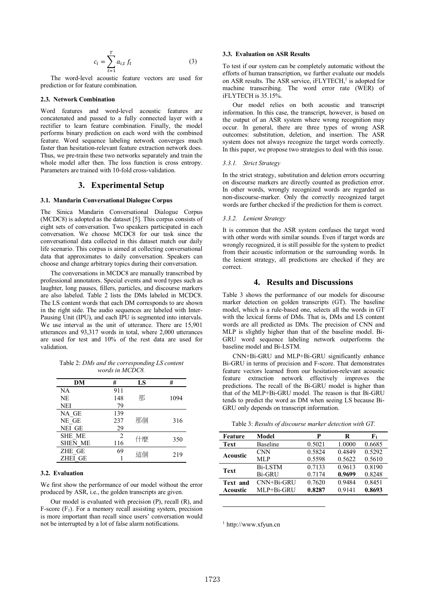$$
c_i = \sum_{t=1}^{T} a_{i,t} f_t \tag{3}
$$

The word-level acoustic feature vectors are used for prediction or for feature combination.

#### 2.3. Network Combination

Word features and word-level acoustic features are concatenated and passed to a fully connected layer with a rectifier to learn feature combination. Finally, the model performs binary prediction on each word with the combined feature. Word sequence labeling network converges much faster than hesitation-relevant feature extraction network does. Thus, we pre-train these two networks separately and train the whole model after then. The loss function is cross entropy. Parameters are trained with 10-fold cross-validation.

## 3. Experimental Setup

### 3.1. Mandarin Conversational Dialogue Corpus

The Sinica Mandarin Conversational Dialogue Corpus (MCDC8) is adopted as the dataset [5]. This corpus consists of eight sets of conversation. Two speakers participated in each conversation. We choose MCDC8 for our task since the conversational data collected in this dataset match our daily life scenario. This corpus is aimed at collecting conversational data that approximates to daily conversation. Speakers can choose and change arbitrary topics during their conversation.

The conversations in MCDC8 are manually transcribed by professional annotators. Special events and word types such as laughter, long pauses, fillers, particles, and discourse markers are also labeled. Table 2 lists the DMs labeled in MCDC8. The LS content words that each DM corresponds to are shown in the right side. The audio sequences are labeled with Inter-Pausing Unit (IPU), and each IPU is segmented into intervals. We use interval as the unit of utterance. There are 15,901 utterances and 93,317 words in total, where 2,000 utterances are used for test and 10% of the rest data are used for validation

Table 2: DMs and the corresponding LS content words in MCDC8.

| DМ             | #              | LS | #    |
|----------------|----------------|----|------|
| NA             | 911            |    |      |
| NE.            | 148            | 那  | 1094 |
| <b>NEI</b>     | 79             |    |      |
| NA GE          | 139            |    |      |
| NE GE          | 237            | 那個 | 316  |
| NEI GE         | 29             |    |      |
| <b>SHE ME</b>  | $\overline{2}$ | 什麼 | 350  |
| <b>SHEN ME</b> | 116            |    |      |
| ZHE GE         | 69             | 這個 | 219  |
| <b>ZHEI GE</b> |                |    |      |

## 3.2. Evaluation

We first show the performance of our model without the error produced by ASR, i.e., the golden transcripts are given.

Our model is evaluated with precision (P), recall (R), and F-score  $(F_1)$ . For a memory recall assisting system, precision is more important than recall since users' conversation would not be interrupted by a lot of false alarm notifications.

## 3.3. Evaluation on ASR Results

To test if our system can be completely automatic without the efforts of human transcription, we further evaluate our models on ASR results. The ASR service, iFLYTECH,<sup>1</sup> is adopted for machine transcribing. The word error rate (WER) of iFLYTECH is 35.15%.

Our model relies on both acoustic and transcript information. In this case, the transcript, however, is based on the output of an ASR system where wrong recognition may occur. In general, there are three types of wrong ASR outcomes: substitution, deletion, and insertion. The ASR system does not always recognize the target words correctly. In this paper, we propose two strategies to deal with this issue.

#### 3.3.1. Strict Strategy

In the strict strategy, substitution and deletion errors occurring on discourse markers are directly counted as prediction error. In other words, wrongly recognized words are regarded as non-discourse-marker. Only the correctly recognized target words are further checked if the prediction for them is correct.

### 3.3.2. Lenient Strategy

It is common that the ASR system confuses the target word with other words with similar sounds. Even if target words are wrongly recognized, it is still possible for the system to predict from their acoustic information or the surrounding words. In the lenient strategy, all predictions are checked if they are correct

## 4. Results and Discussions

Table 3 shows the performance of our models for discourse marker detection on golden transcripts (GT). The baseline model, which is a rule-based one, selects all the words in GT with the lexical forms of DMs. That is, DMs and LS content words are all predicted as DMs. The precision of CNN and MLP is slightly higher than that of the baseline model. Bi-GRU word sequence labeling network outperforms the baseline model and Bi-LSTM.

CNN+Bi-GRU and MLP+Bi-GRU significantly enhance Bi-GRU in terms of precision and F-score. That demonstrates feature vectors learned from our hesitation-relevant acoustic feature extraction network effectively improves the predictions. The recall of the Bi-GRU model is higher than that of the MLP+Bi-GRU model. The reason is that Bi-GRU tends to predict the word as DM when seeing LS because Bi-GRU only depends on transcript information.

|  |  |  |  |  | Table 3: Results of discourse marker detection with GT. |  |  |  |  |
|--|--|--|--|--|---------------------------------------------------------|--|--|--|--|
|--|--|--|--|--|---------------------------------------------------------|--|--|--|--|

| Feature     | Model          | P      | R      | F1     |
|-------------|----------------|--------|--------|--------|
| Text        | Baseline       | 0.5021 | 1.0000 | 0.6685 |
|             | <b>CNN</b>     | 0.5824 | 0.4849 | 0.5292 |
| Acoustic    | MLP            | 0.5598 | 0.5622 | 0.5610 |
| <b>Text</b> | <b>Bi-LSTM</b> | 0.7133 | 0.9613 | 0.8190 |
|             | <b>Bi-GRU</b>  | 0.7174 | 0.9699 | 0.8248 |
| Text and    | CNN+Bi-GRU     | 0.7620 | 0.9484 | 0.8451 |
| Acoustic    | MLP+Bi-GRU     | 0.8287 | 0.9141 | 0.8693 |
|             |                |        |        |        |

 $1$  http://www.xfyun.cn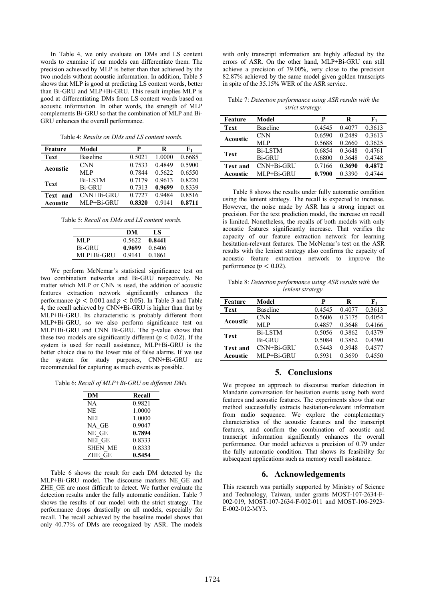In Table 4, we only evaluate on DMs and LS content words to examine if our models can differentiate them. The precision achieved by MLP is better than that achieved by the two models without acoustic information. In addition, Table 5 shows that MLP is good at predicting LS content words, better than Bi-GRU and MLP+Bi-GRU. This result implies MLP is good at differentiating DMs from LS content words based on acoustic information. In other words, the strength of MLP complements Bi-GRU so that the combination of MLP and Bi-GRU enhances the overall performance.

Table 4: *Results on DMs and LS content words.*

| Feature         | Model          | P      | R      | F1     |
|-----------------|----------------|--------|--------|--------|
| Text            | Baseline       | 0.5021 | 1.0000 | 0.6685 |
| <b>Acoustic</b> | <b>CNN</b>     | 0.7533 | 0.4849 | 0.5900 |
|                 | MLP            | 0.7844 | 0.5622 | 0.6550 |
| <b>Text</b>     | <b>Bi-LSTM</b> | 0.7179 | 0.9613 | 0.8220 |
|                 | <b>Bi-GRU</b>  | 0.7313 | 0.9699 | 0.8339 |
| Text<br>and     | $CNN+Bi-GRIJ$  | 0.7727 | 0.9484 | 0.8516 |
| Acoustic        | MLP+Bi-GRU     | 0.8320 | 0.9141 | 0.8711 |

Table 5: *Recall on DMs and LS content words.*

|            | DМ     | LS     |
|------------|--------|--------|
| MLP        | 0.5622 | 0.8441 |
| Bi-GRU     | 0.9699 | 0.6406 |
| MLP+Bi-GRU | 0.9141 | 0.1861 |

We perform McNemar's statistical significance test on two combination networks and Bi-GRU respectively. No matter which MLP or CNN is used, the addition of acoustic features extraction network significantly enhances the performance ( $p < 0.001$  and  $p < 0.05$ ). In Table 3 and Table 4, the recall achieved by  $CNN+Bi-GRU$  is higher than that by MLP+Bi-GRU. Its characteristic is probably different from MLP+Bi-GRU, so we also perform significance test on MLP+Bi-GRU and CNN+Bi-GRU. The p-value shows that these two models are significantly different ( $p < 0.02$ ). If the system is used for recall assistance, MLP+Bi-GRU is the better choice due to the lower rate of false alarms. If we use the system for study purposes, CNN+Bi-GRU are recommended for capturing as much events as possible.

Table 6: *Recall of MLP+Bi-GRU on different DMs.*

| DM             | Recall |
|----------------|--------|
| NA             | 0.9821 |
| NE.            | 1.0000 |
| <b>NEI</b>     | 1.0000 |
| NA GE          | 0.9047 |
| NE GE          | 0.7894 |
| NEI GE         | 0.8333 |
| <b>SHEN ME</b> | 0.8333 |
| ZHE GE         | 0.5454 |

Table 6 shows the result for each DM detected by the MLP+Bi-GRU model. The discourse markers NE GE and ZHE\_GE are most difficult to detect. We further evaluate the detection results under the fully automatic condition. Table 7 shows the results of our model with the strict strategy. The performance drops drastically on all models, especially for recall. The recall achieved by the baseline model shows that only 40.77% of DMs are recognized by ASR. The models with only transcript information are highly affected by the errors of ASR. On the other hand, MLP+Bi-GRU can still achieve a precision of 79.00%, very close to the precision 82.87% achieved by the same model given golden transcripts in spite of the 35.15% WER of the ASR service.

Table 7: *Detection performance using ASR results with the strict strategy.*

| Feature         | Model          | P      | R      | ${\bf F_1}$ |
|-----------------|----------------|--------|--------|-------------|
| <b>Text</b>     | Baseline       | 0.4545 | 0.4077 | 0.3613      |
| Acoustic        | <b>CNN</b>     | 0.6590 | 0.2489 | 0.3613      |
|                 | MLP            | 0.5688 | 0.2660 | 0.3625      |
| <b>Text</b>     | <b>Bi-LSTM</b> | 0.6854 | 0 3648 | 0.4761      |
|                 | <b>Bi-GRU</b>  | 0.6800 | 0.3648 | 0.4748      |
| <b>Text and</b> | CNN+Bi-GRU     | 0.7166 | 0.3690 | 0.4872      |
| Acoustic        | MLP+Bi-GRU     | 0.7900 | 0.3390 | 0.4744      |

Table 8 shows the results under fully automatic condition using the lenient strategy. The recall is expected to increase. However, the noise made by ASR has a strong impact on precision. For the text prediction model, the increase on recall is limited. Nonetheless, the recalls of both models with only acoustic features significantly increase. That verifies the capacity of our feature extraction network for learning hesitation-relevant features. The McNemar's test on the ASR results with the lenient strategy also confirms the capacity of acoustic feature extraction network to improve the performance ( $p < 0.02$ ).

Table 8: *Detection performance using ASR results with the lenient strategy.*

| Feature         | Model          | P      | R      | ${\bf F_1}$ |
|-----------------|----------------|--------|--------|-------------|
| <b>Text</b>     | Baseline       | 0.4545 | 0.4077 | 0.3613      |
| <b>Acoustic</b> | <b>CNN</b>     | 0.5606 | 0.3175 | 0.4054      |
|                 | ML P           | 0.4857 | 0.3648 | 0.4166      |
| <b>Text</b>     | <b>Bi-LSTM</b> | 0.5056 | 0.3862 | 04379       |
|                 | <b>Bi-GRU</b>  | 0.5084 | 0.3862 | 0.4390      |
| Text and        | CNN+Bi-GRU     | 0.5443 | 0.3948 | 0.4577      |
| Acoustic        | MLP+Bi-GRU     | 0.5931 | 0.3690 | 0.4550      |

## **5. Conclusions**

We propose an approach to discourse marker detection in Mandarin conversation for hesitation events using both word features and acoustic features. The experiments show that our method successfully extracts hesitation-relevant information from audio sequence. We explore the complementary characteristics of the acoustic features and the transcript features, and confirm the combination of acoustic and transcript information significantly enhances the overall performance. Our model achieves a precision of 0.79 under the fully automatic condition. That shows its feasibility for subsequent applications such as memory recall assistance.

## **6. Acknowledgements**

This research was partially supported by Ministry of Science and Technology, Taiwan, under grants MOST-107-2634-F-002-019, MOST-107-2634-F-002-011 and MOST-106-2923- E-002-012-MY3.